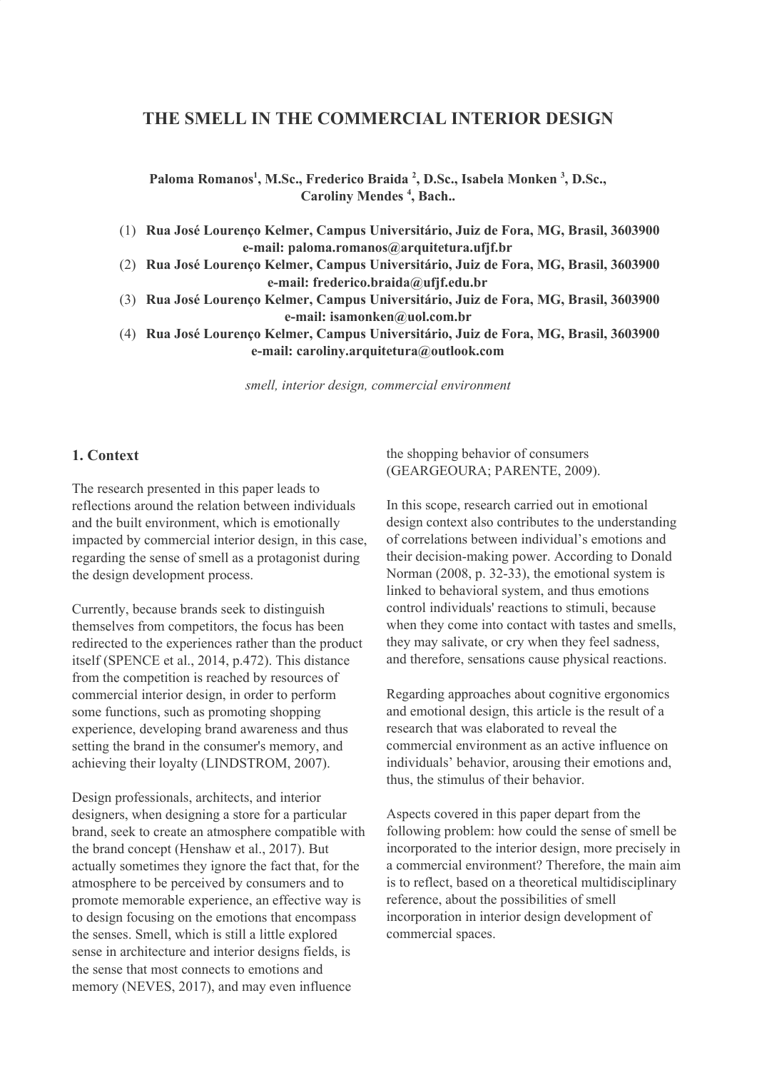# **THE SMELL IN THE COMMERCIAL INTERIOR DESIGN**

**Paloma Romanos 1 , M.Sc., Frederico Braida 2 , D.Sc., Isabela Monken 3 , D.Sc., Caroliny Mendes 4 , Bach..**

(1) **Rua José Lourenço Kelmer, Campus Universitário, Juiz de Fora, MG, Brasil, 3603900 e-mail: paloma.romanos@arquitetura.ufjf.br**

- (2) **Rua José Lourenço Kelmer, Campus Universitário, Juiz de Fora, MG, Brasil, 3603900 e-mail: frederico.braida@ufjf.edu.br**
- (3) **Rua José Lourenço Kelmer, Campus Universitário, Juiz de Fora, MG, Brasil, 3603900 e-mail: isamonken@uol.com.br**

(4) **Rua José Lourenço Kelmer, Campus Universitário, Juiz de Fora, MG, Brasil, 3603900 e-mail: caroliny.arquitetura@outlook.com**

*smell, interior design, commercial environment*

#### **1. Context**

The research presented in this paper leads to reflections around the relation between individuals and the built environment, which is emotionally impacted by commercial interior design, in this case, regarding the sense of smell as a protagonist during the design development process.

Currently, because brands seek to distinguish themselves from competitors, the focus has been redirected to the experiences rather than the product itself (SPENCE et al., 2014, p.472). This distance from the competition is reached by resources of commercial interior design, in order to perform some functions, such as promoting shopping experience, developing brand awareness and thus setting the brand in the consumer's memory, and achieving their loyalty (LINDSTROM, 2007).

Design professionals, architects, and interior designers, when designing a store for a particular brand, seek to create an atmosphere compatible with the brand concept (Henshaw et al., 2017). But actually sometimes they ignore the fact that, for the atmosphere to be perceived by consumers and to promote memorable experience, an effective way is to design focusing on the emotions that encompass the senses. Smell, which is still a little explored sense in architecture and interior designs fields, is the sense that most connects to emotions and memory (NEVES, 2017), and may even influence

the shopping behavior of consumers (GEARGEOURA; PARENTE, 2009).

In this scope, research carried out in emotional design context also contributes to the understanding of correlations between individual's emotions and their decision-making power. According to Donald Norman (2008, p. 32-33), the emotional system is linked to behavioral system, and thus emotions control individuals' reactions to stimuli, because when they come into contact with tastes and smells, they may salivate, or cry when they feel sadness, and therefore, sensations cause physical reactions.

Regarding approaches about cognitive ergonomics and emotional design, this article is the result of a research that was elaborated to reveal the commercial environment as an active influence on individuals' behavior, arousing their emotions and, thus, the stimulus of their behavior.

Aspects covered in this paper depart from the following problem: how could the sense of smell be incorporated to the interior design, more precisely in a commercial environment? Therefore, the main aim is to reflect, based on a theoretical multidisciplinary reference, about the possibilities of smell incorporation in interior design development of commercial spaces.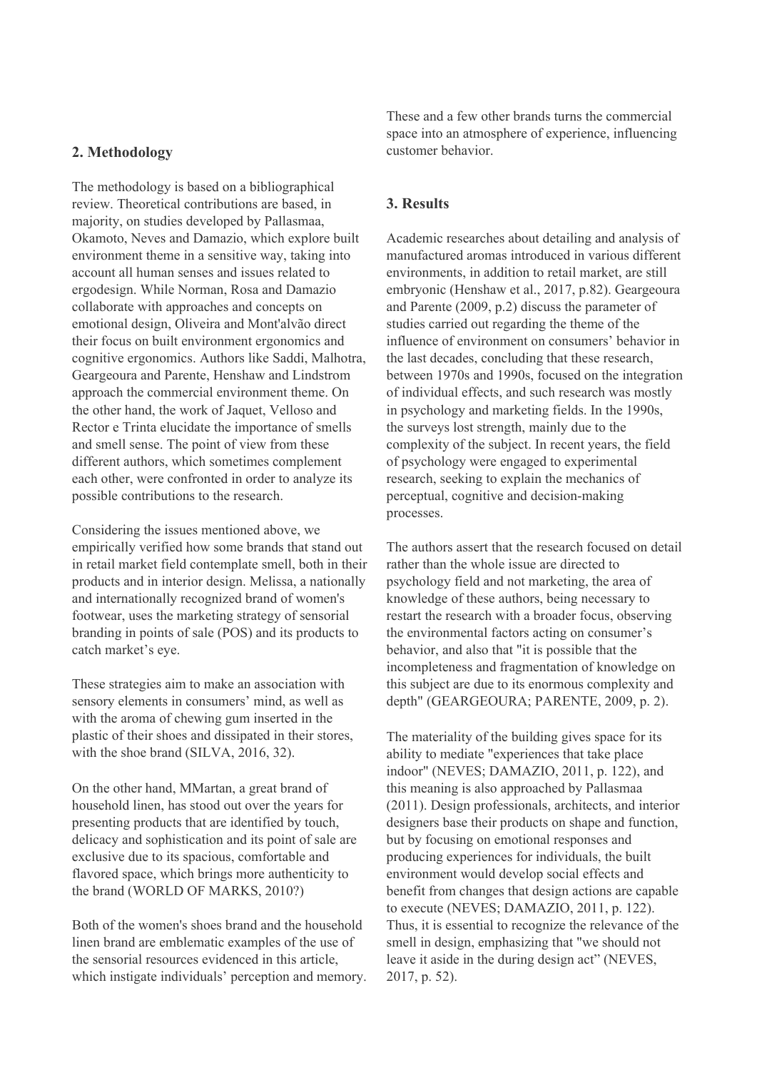### **2. Methodology**

The methodology is based on a bibliographical review. Theoretical contributions are based, in majority, on studies developed by Pallasmaa, Okamoto, Neves and Damazio, which explore built environment theme in a sensitive way, taking into account all human senses and issues related to ergodesign. While Norman, Rosa and Damazio collaborate with approaches and concepts on emotional design, Oliveira and Mont'alvão direct their focus on built environment ergonomics and cognitive ergonomics. Authors like Saddi, Malhotra, Geargeoura and Parente, Henshaw and Lindstrom approach the commercial environment theme. On the other hand, the work of Jaquet, Velloso and Rector e Trinta elucidate the importance of smells and smell sense. The point of view from these different authors, which sometimes complement each other, were confronted in order to analyze its possible contributions to the research.

Considering the issues mentioned above, we empirically verified how some brands that stand out in retail market field contemplate smell, both in their products and in interior design. Melissa, a nationally and internationally recognized brand of women's footwear, uses the marketing strategy of sensorial branding in points of sale (POS) and its products to catch market's eye.

These strategies aim to make an association with sensory elements in consumers' mind, as well as with the aroma of chewing gum inserted in the plastic of their shoes and dissipated in their stores, with the shoe brand (SILVA, 2016, 32).

On the other hand, MMartan, a great brand of household linen, has stood out over the years for presenting products that are identified by touch, delicacy and sophistication and its point of sale are exclusive due to its spacious, comfortable and flavored space, which brings more authenticity to the brand (WORLD OF MARKS, 2010?)

Both of the women's shoes brand and the household linen brand are emblematic examples of the use of the sensorial resources evidenced in this article, which instigate individuals' perception and memory. These and a few other brands turns the commercial space into an atmosphere of experience, influencing customer behavior.

## **3. Results**

Academic researches about detailing and analysis of manufactured aromas introduced in various different environments, in addition to retail market, are still embryonic (Henshaw et al., 2017, p.82). Geargeoura and Parente (2009, p.2) discuss the parameter of studies carried out regarding the theme of the influence of environment on consumers' behavior in the last decades, concluding that these research, between 1970s and 1990s, focused on the integration of individual effects, and such research was mostly in psychology and marketing fields. In the 1990s, the surveys lost strength, mainly due to the complexity of the subject. In recent years, the field of psychology were engaged to experimental research, seeking to explain the mechanics of perceptual, cognitive and decision-making processes.

The authors assert that the research focused on detail rather than the whole issue are directed to psychology field and not marketing, the area of knowledge of these authors, being necessary to restart the research with a broader focus, observing the environmental factors acting on consumer's behavior, and also that "it is possible that the incompleteness and fragmentation of knowledge on this subject are due to its enormous complexity and depth" (GEARGEOURA; PARENTE, 2009, p. 2).

The materiality of the building gives space for its ability to mediate "experiences that take place indoor" (NEVES; DAMAZIO, 2011, p. 122), and this meaning is also approached by Pallasmaa (2011). Design professionals, architects, and interior designers base their products on shape and function, but by focusing on emotional responses and producing experiences for individuals, the built environment would develop social effects and benefit from changes that design actions are capable to execute (NEVES; DAMAZIO, 2011, p. 122). Thus, it is essential to recognize the relevance of the smell in design, emphasizing that "we should not leave it aside in the during design act" (NEVES, 2017, p. 52).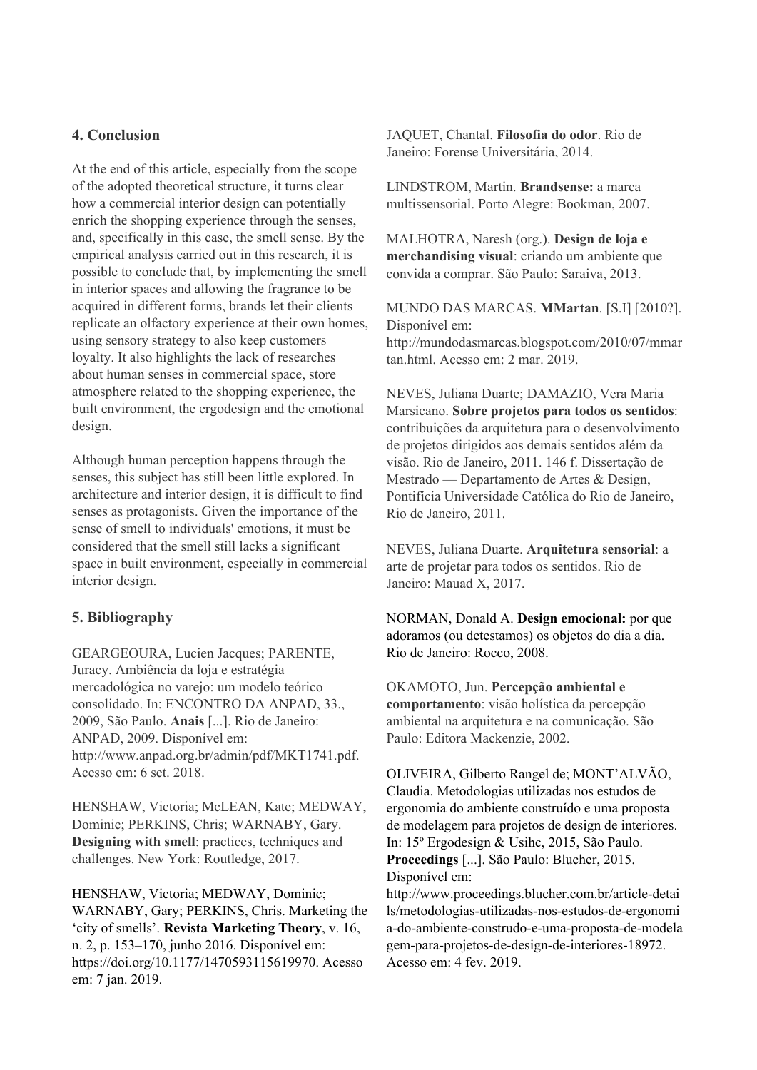## **4. Conclusion**

At the end of this article, especially from the scope of the adopted theoretical structure, it turns clear how a commercial interior design can potentially enrich the shopping experience through the senses, and, specifically in this case, the smell sense. By the empirical analysis carried out in this research, it is possible to conclude that, by implementing the smell in interior spaces and allowing the fragrance to be acquired in different forms, brands let their clients replicate an olfactory experience at their own homes, using sensory strategy to also keep customers loyalty. It also highlights the lack of researches about human senses in commercial space, store atmosphere related to the shopping experience, the built environment, the ergodesign and the emotional design.

Although human perception happens through the senses, this subject has still been little explored. In architecture and interior design, it is difficult to find senses as protagonists. Given the importance of the sense of smell to individuals' emotions, it must be considered that the smell still lacks a significant space in built environment, especially in commercial interior design.

# **5. Bibliography**

GEARGEOURA, Lucien Jacques; PARENTE, Juracy. Ambiência da loja e estratégia mercadológica no varejo: um modelo teórico consolidado. In: ENCONTRO DA ANPAD, 33., 2009, São Paulo. **Anais** [...]. Rio de Janeiro: ANPAD, 2009. Disponível em: http://www.anpad.org.br/admin/pdf/MKT1741.pdf. Acesso em: 6 set. 2018.

HENSHAW, Victoria; McLEAN, Kate; MEDWAY, Dominic; PERKINS, Chris; WARNABY, Gary. **Designing with smell**: practices, techniques and challenges. New York: Routledge, 2017.

HENSHAW, Victoria; MEDWAY, Dominic; WARNABY, Gary; PERKINS, Chris. Marketing the 'city of smells'. **Revista Marketing Theory**, v. 16, n. 2, p. 153–170, junho 2016. Disponível em: https://doi.org/10.1177/1470593115619970. Acesso em: 7 jan. 2019.

JAQUET, Chantal. **Filosofia do odor**. Rio de Janeiro: Forense Universitária, 2014.

LINDSTROM, Martin. **Brandsense:** a marca multissensorial. Porto Alegre: Bookman, 2007.

MALHOTRA, Naresh (org.). **Design de loja e merchandising visual**: criando um ambiente que convida a comprar. São Paulo: Saraiva, 2013.

MUNDO DAS MARCAS. **MMartan**. [S.I] [2010?]. Disponível em:

http://mundodasmarcas.blogspot.com/2010/07/mmar tan.html. Acesso em: 2 mar. 2019.

NEVES, Juliana Duarte; DAMAZIO, Vera Maria Marsicano. **Sobre projetos para todos os sentidos**: contribuições da arquitetura para o desenvolvimento de projetos dirigidos aos demais sentidos além da visão. Rio de Janeiro, 2011. 146 f. Dissertação de Mestrado — Departamento de Artes & Design, Pontifícia Universidade Católica do Rio de Janeiro, Rio de Janeiro, 2011.

NEVES, Juliana Duarte. **Arquitetura sensorial**: a arte de projetar para todos os sentidos. Rio de Janeiro: Mauad X, 2017.

NORMAN, Donald A. **Design emocional:** por que adoramos (ou detestamos) os objetos do dia a dia. Rio de Janeiro: Rocco, 2008.

OKAMOTO, Jun. **Percepção ambiental e comportamento**: visão holística da percepção ambiental na arquitetura e na comunicação. São Paulo: Editora Mackenzie, 2002.

OLIVEIRA, Gilberto Rangel de; MONT'ALVÃO, Claudia. Metodologias utilizadas nos estudos de ergonomia do ambiente construído e uma proposta de modelagem para projetos de design de interiores. In: 15º Ergodesign & Usihc, 2015, São Paulo. **Proceedings** [...]. São Paulo: Blucher, 2015. Disponível em:

http://www.proceedings.blucher.com.br/article-detai ls/metodologias-utilizadas-nos-estudos-de-ergonomi a-do-ambiente-construdo-e-uma-proposta-de-modela gem-para-projetos-de-design-de-interiores-18972. Acesso em: 4 fev. 2019.